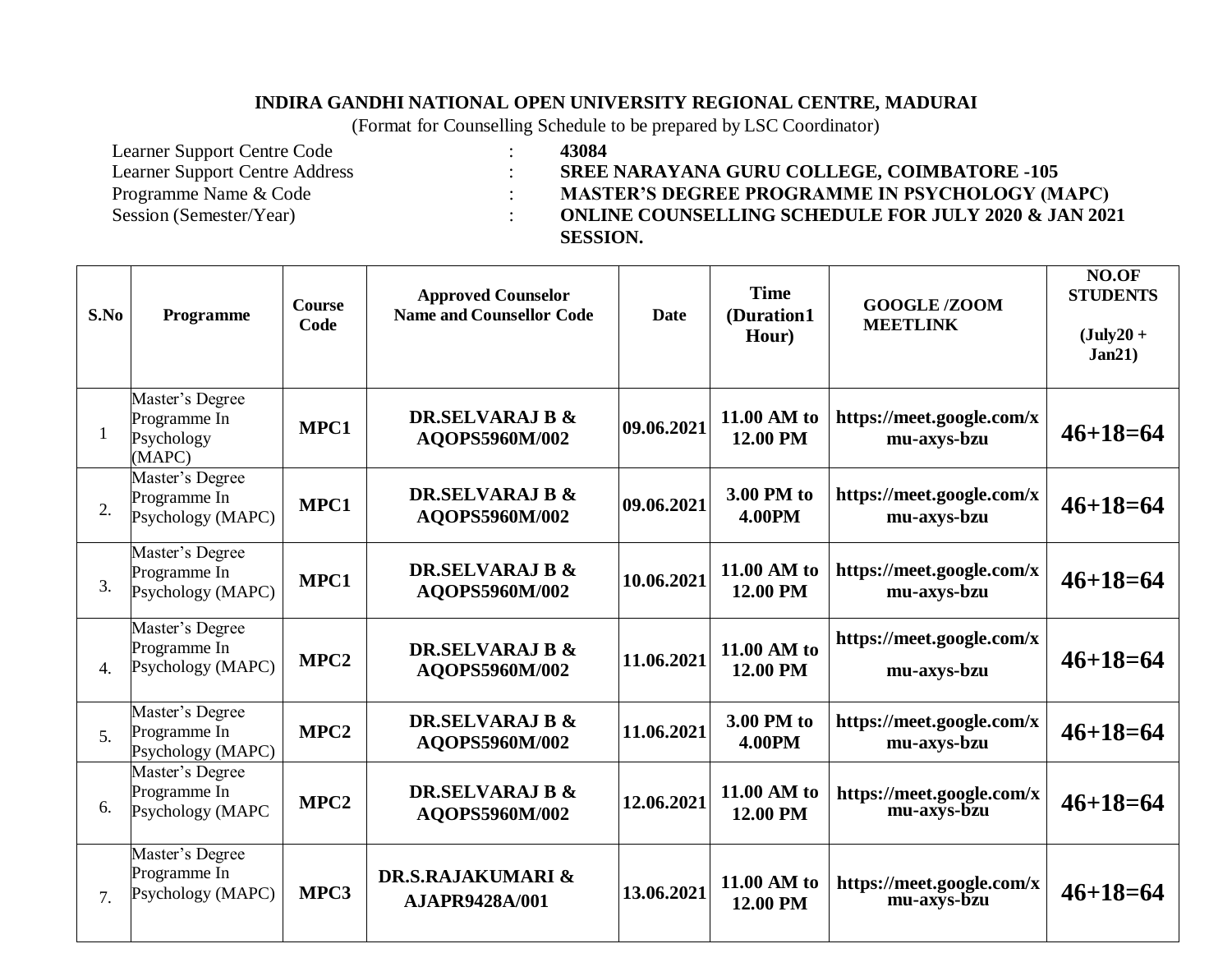#### **INDIRA GANDHI NATIONAL OPEN UNIVERSITY REGIONAL CENTRE, MADURAI**

(Format for Counselling Schedule to be prepared by LSC Coordinator)

Learner Support Centre Code : **43084**

Learner Support Centre Address : **SREE NARAYANA GURU COLLEGE, COIMBATORE -105** Programme Name & Code : **MASTER'S DEGREE PROGRAMME IN PSYCHOLOGY (MAPC)** Session (Semester/Year) : **ONLINE COUNSELLING SCHEDULE FOR JULY 2020 & JAN 2021 SESSION.**

| S.No           | Programme                                               | <b>Course</b><br>Code | <b>Approved Counselor</b><br><b>Name and Counsellor Code</b> | <b>Date</b> | <b>Time</b><br>(Duration1<br>Hour) | <b>GOOGLE/ZOOM</b><br><b>MEETLINK</b>    | NO.OF<br><b>STUDENTS</b><br>$(July20 +$<br>Jan21) |
|----------------|---------------------------------------------------------|-----------------------|--------------------------------------------------------------|-------------|------------------------------------|------------------------------------------|---------------------------------------------------|
|                | Master's Degree<br>Programme In<br>Psychology<br>(MAPC) | MPC1                  | DR.SELVARAJ B &<br>AQOPS5960M/002                            | 09.06.2021  | 11.00 AM to<br>12.00 PM            | https://meet.google.com/x<br>mu-axys-bzu | $46 + 18 = 64$                                    |
| 2.             | Master's Degree<br>Programme In<br>Psychology (MAPC)    | MPC1                  | <b>DR.SELVARAJ B &amp;</b><br>AQOPS5960M/002                 | 09.06.2021  | 3.00 PM to<br><b>4.00PM</b>        | https://meet.google.com/x<br>mu-axys-bzu | $46 + 18 = 64$                                    |
| 3.             | Master's Degree<br>Programme In<br>Psychology (MAPC)    | MPC1                  | <b>DR.SELVARAJ B &amp;</b><br>AQOPS5960M/002                 | 10.06.2021  | 11.00 AM to<br>12.00 PM            | https://meet.google.com/x<br>mu-axys-bzu | $46 + 18 = 64$                                    |
| 4.             | Master's Degree<br>Programme In<br>Psychology (MAPC)    | MPC <sub>2</sub>      | <b>DR.SELVARAJ B &amp;</b><br>AQOPS5960M/002                 | 11.06.2021  | 11.00 AM to<br>12.00 PM            | https://meet.google.com/x<br>mu-axys-bzu | $46 + 18 = 64$                                    |
| 5 <sub>1</sub> | Master's Degree<br>Programme In<br>Psychology (MAPC)    | MPC <sub>2</sub>      | <b>DR.SELVARAJ B &amp;</b><br>AQOPS5960M/002                 | 11.06.2021  | 3.00 PM to<br><b>4.00PM</b>        | https://meet.google.com/x<br>mu-axys-bzu | $46 + 18 = 64$                                    |
| 6.             | Master's Degree<br>Programme In<br>Psychology (MAPC     | MPC <sub>2</sub>      | DR.SELVARAJ B &<br>AQOPS5960M/002                            | 12.06.2021  | 11.00 AM to<br>12.00 PM            | https://meet.google.com/x<br>mu-axys-bzu | $46 + 18 = 64$                                    |
| 7 <sub>1</sub> | Master's Degree<br>Programme In<br>Psychology (MAPC)    | MPC3                  | DR.S.RAJAKUMARI &<br><b>AJAPR9428A/001</b>                   | 13.06.2021  | 11.00 AM to<br>12.00 PM            | https://meet.google.com/x<br>mu-axys-bzu | $46 + 18 = 64$                                    |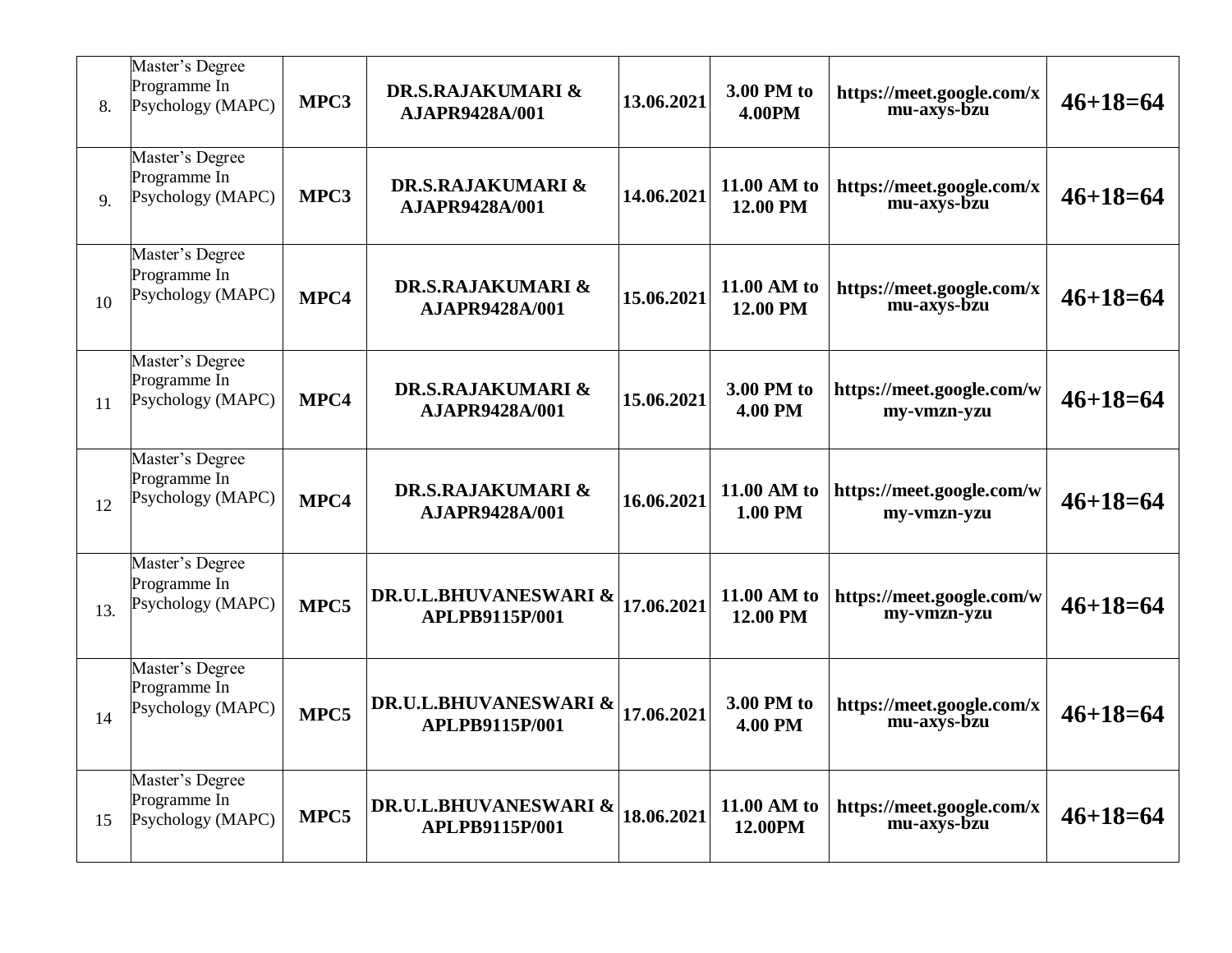| 8.  | Master's Degree<br>Programme In<br>Psychology (MAPC) | MPC3 | DR.S.RAJAKUMARI &<br><b>AJAPR9428A/001</b>                | 13.06.2021 | 3.00 PM to<br><b>4.00PM</b>  | https://meet.google.com/x<br>mu-axys-bzu | $46 + 18 = 64$ |
|-----|------------------------------------------------------|------|-----------------------------------------------------------|------------|------------------------------|------------------------------------------|----------------|
| 9.  | Master's Degree<br>Programme In<br>Psychology (MAPC) | MPC3 | <b>DR.S.RAJAKUMARI &amp;</b><br><b>AJAPR9428A/001</b>     | 14.06.2021 | 11.00 AM to<br>12.00 PM      | https://meet.google.com/x<br>mu-axys-bzu | $46 + 18 = 64$ |
| 10  | Master's Degree<br>Programme In<br>Psychology (MAPC) | MPC4 | DR.S.RAJAKUMARI &<br><b>AJAPR9428A/001</b>                | 15.06.2021 | 11.00 AM to<br>12.00 PM      | https://meet.google.com/x<br>mu-axys-bzu | $46 + 18 = 64$ |
| 11  | Master's Degree<br>Programme In<br>Psychology (MAPC) | MPC4 | DR.S.RAJAKUMARI &<br><b>AJAPR9428A/001</b>                | 15.06.2021 | 3.00 PM to<br><b>4.00 PM</b> | https://meet.google.com/w<br>my-vmzn-yzu | $46 + 18 = 64$ |
| 12  | Master's Degree<br>Programme In<br>Psychology (MAPC) | MPC4 | <b>DR.S.RAJAKUMARI &amp;</b><br><b>AJAPR9428A/001</b>     | 16.06.2021 | 11.00 AM to<br>1.00 PM       | https://meet.google.com/w<br>my-vmzn-yzu | $46+18=64$     |
| 13. | Master's Degree<br>Programme In<br>Psychology (MAPC) | MPC5 | <b>DR.U.L.BHUVANESWARI &amp;</b><br>APLPB9115P/001        | 17.06.2021 | 11.00 AM to<br>12.00 PM      | https://meet.google.com/w<br>my-vmzn-yzu | $46 + 18 = 64$ |
| 14  | Master's Degree<br>Programme In<br>Psychology (MAPC) | MPC5 | <b>DR.U.L.BHUVANESWARI &amp;</b><br><b>APLPB9115P/001</b> | 17.06.2021 | 3.00 PM to<br><b>4.00 PM</b> | https://meet.google.com/x<br>mu-axys-bzu | $46+18=64$     |
| 15  | Master's Degree<br>Programme In<br>Psychology (MAPC) | MPC5 | <b>DR.U.L.BHUVANESWARI &amp;</b><br>APLPB9115P/001        | 18.06.2021 | 11.00 AM to<br>12.00PM       | https://meet.google.com/x<br>mu-axys-bzu | $46 + 18 = 64$ |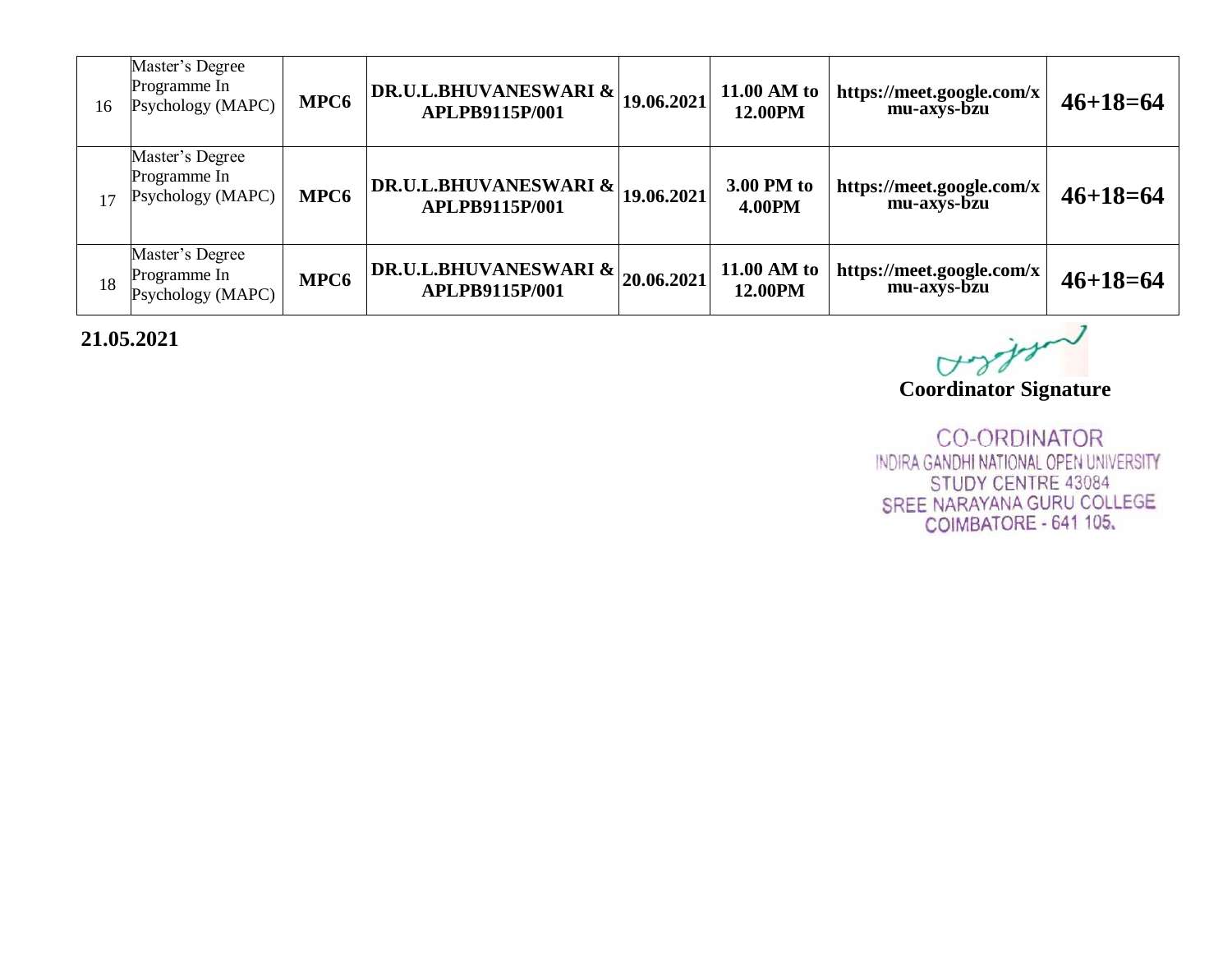| 16 | Master's Degree<br>Programme In<br>Psychology (MAPC) | MPC <sub>6</sub> | DR.U.L.BHUVANESWARI &<br><b>APLPB9115P/001</b> | 19.06.2021 | 11.00 AM to<br>12.00PM      | https://meet.google.com/x<br>mu-axys-bzu | $46 + 18 = 64$ |
|----|------------------------------------------------------|------------------|------------------------------------------------|------------|-----------------------------|------------------------------------------|----------------|
| 17 | Master's Degree<br>Programme In<br>Psychology (MAPC) | MPC <sub>6</sub> | DR.U.L.BHUVANESWARI &<br>APLPB9115P/001        | 19.06.2021 | 3.00 PM to<br><b>4.00PM</b> | https://meet.google.com/x<br>mu-axys-bzu | $46 + 18 = 64$ |
| 18 | Master's Degree<br>Programme In<br>Psychology (MAPC) | MPC <sub>6</sub> | DR.U.L.BHUVANESWARI & <br>APLPB9115P/001       | 20.06.2021 | 11.00 AM to<br>12.00PM      | https://meet.google.com/x<br>mu-axys-bzu | $46+18=64$     |

# **21.05.2021**

Vs

**Coordinator Signature**

**CO-ORDINATOR** INDIRA GANDHI NATIONAL OPEN UNIVERSITY STUDY CENTRE 43084 SREE NARAYANA GURU COLLEGE COIMBATORE - 641 105.